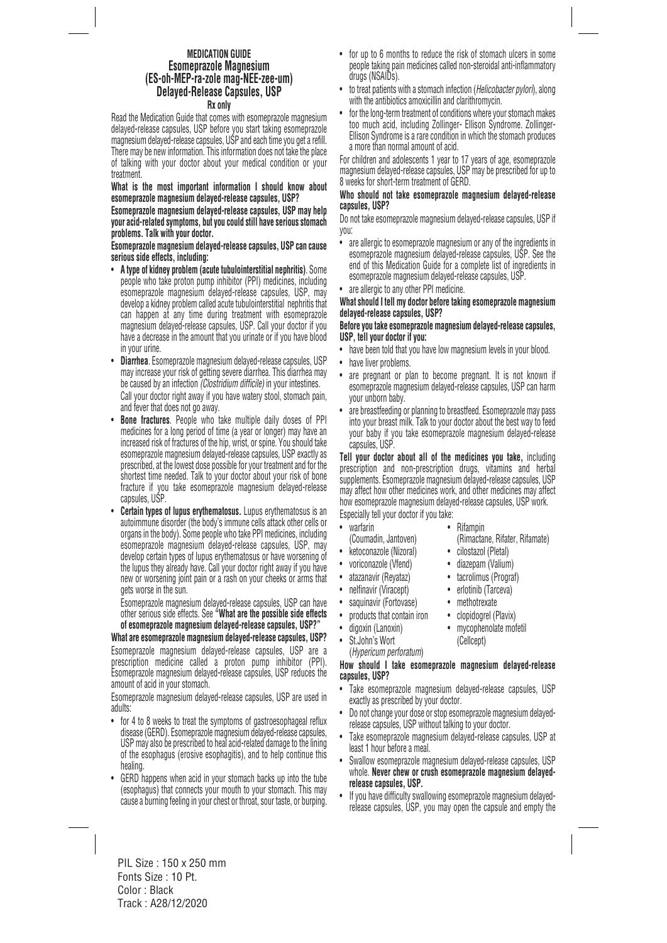# **MEDICATION GUIDE Esomeprazole Magnesium (ES-oh-MEP-ra-zole mag-NEE-zee-um) Delayed-Release Capsules, USP Rx only**

Read the Medication Guide that comes with esomeprazole magnesium delayed-release capsules, USP before you start taking esomeprazole magnesium delayed-release capsules, USP and each time you get a refill. There may be new information. This information does not take the place of talking with your doctor about your medical condition or your treatment.

**What is the most important information I should know about esomeprazole magnesium delayed-release capsules, USP?**

**Esomeprazole magnesium delayed-release capsules, USP may help your acid-related symptoms, but you could still have serious stomach problems. Talk with your doctor.**

**Esomeprazole magnesium delayed-release capsules, USP can cause serious side effects, including:**

- **A type of kidney problem (acute tubulointerstitial nephritis)**. Some people who take proton pump inhibitor (PPI) medicines, including esomeprazole magnesium delayed-release capsules, USP, may develop a kidney problem called acute tubulointerstitial nephritis that can happen at any time during treatment with esomeprazole magnesium delayed-release capsules, USP. Call your doctor if you have a decrease in the amount that you urinate or if you have blood in your urine.
- **Diarrhea**. Esomeprazole magnesium delayed-release capsules, USP may increase your risk of getting severe diarrhea. This diarrhea may be caused by an infection *(Clostridium difficile)* in your intestines.

 Call your doctor right away if you have watery stool, stomach pain, and fever that does not go away.

- **Bone fractures**. People who take multiple daily doses of PPI medicines for a long period of time (a year or longer) may have an increased risk of fractures of the hip, wrist, or spine. You should take esomeprazole magnesium delayed-release capsules, USP exactly as prescribed, at the lowest dose possible for your treatment and for the shortest time needed. Talk to your doctor about your risk of bone fracture if you take esomeprazole magnesium delayed-release capsules, USP.
- **Certain types of lupus erythematosus.** Lupus erythematosus is an autoimmune disorder (the body's immune cells attack other cells or organs in the body). Some people who take PPI medicines, including esomeprazole magnesium delayed-release capsules, USP, may develop certain types of lupus erythematosus or have worsening of the lupus they already have. Call your doctor right away if you have new or worsening joint pain or a rash on your cheeks or arms that gets worse in the sun.

 Esomeprazole magnesium delayed-release capsules, USP can have other serious side effects. See **"What are the possible side effects of esomeprazole magnesium delayed-release capsules, USP?"**

**What are esomeprazole magnesium delayed-release capsules, USP?** Esomeprazole magnesium delayed-release capsules, USP are a prescription medicine called a proton pump inhibitor (PPI). Esomeprazole magnesium delayed-release capsules, USP reduces the amount of acid in your stomach.

Esomeprazole magnesium delayed-release capsules, USP are used in adults:

- for 4 to 8 weeks to treat the symptoms of gastroesophageal reflux disease (GERD). Esomeprazole magnesium delayed-release capsules, USP may also be prescribed to heal acid-related damage to the lining of the esophagus (erosive esophagitis), and to help continue this healing.
- GERD happens when acid in your stomach backs up into the tube (esophagus) that connects your mouth to your stomach. This may cause a burning feeling in your chest or throat, sour taste, or burping.
- for up to 6 months to reduce the risk of stomach ulcers in some people taking pain medicines called non-steroidal anti-inflammatory drugs (NSAIDs).
- to treat patients with a stomach infection (*Helicobacter pylori*), along with the antibiotics amoxicillin and clarithromycin.
- for the long-term treatment of conditions where your stomach makes too much acid, including Zollinger- Ellison Syndrome. Zollinger-Ellison Syndrome is a rare condition in which the stomach produces a more than normal amount of acid.

For children and adolescents 1 year to 17 years of age, esomeprazole magnesium delayed-release capsules, USP may be prescribed for up to 8 weeks for short-term treatment of GERD.

## **Who should not take esomeprazole magnesium delayed-release capsules, USP?**

Do not take esomeprazole magnesium delayed-release capsules, USP if you:

- are allergic to esomeprazole magnesium or any of the ingredients in esomeprazole magnesium delayed-release capsules, USP. See the end of this Medication Guide for a complete list of ingredients in esomeprazole magnesium delayed-release capsules, USP.
- are allergic to any other PPI medicine.

## **What should I tell my doctor before taking esomeprazole magnesium delayed-release capsules, USP?**

## **Before you take esomeprazole magnesium delayed-release capsules, USP, tell your doctor if you:**

- have been told that you have low magnesium levels in your blood.
- have liver problems.
- are pregnant or plan to become pregnant. It is not known if esomeprazole magnesium delayed-release capsules, USP can harm your unborn baby.
- are breastfeeding or planning to breastfeed. Esomeprazole may pass into your breast milk. Talk to your doctor about the best way to feed your baby if you take esomeprazole magnesium delayed-release capsules, USP.

**Tell your doctor about all of the medicines you take,** including prescription and non-prescription drugs, vitamins and herbal supplements. Esomeprazole magnesium delayed-release capsules, USP may affect how other medicines work, and other medicines may affect how esomeprazole magnesium delayed-release capsules, USP work.

- Especially tell your doctor if you take: warfarin • Rifampin
- (Coumadin, Jantoven) (Rimactane, Rifater, Rifamate)
- ketoconazole (Nizoral) cilostazol (Pletal)
- voriconazole (Vfend) diazepam (Valium)
	- atazanavir (Reyataz) tacrolimus (Prograf)
- nelfinavir (Viracept) erlotinib (Tarceva)
- saquinavir (Fortovase) methotrexate
- 
- products that contain iron clopidogrel (Plavix)
- digoxin (Lanoxin) mycophenolate mofetil
- St.John's Wort (Cellcept)
	- (*Hypericum perforatum*)

# **How should I take esomeprazole magnesium delayed-release capsules, USP?**

- Take esomeprazole magnesium delayed-release capsules, USP exactly as prescribed by your doctor.
- Do not change your dose or stop esomeprazole magnesium delayedrelease capsules, USP without talking to your doctor.
- Take esomeprazole magnesium delayed-release capsules, USP at least 1 hour before a meal.
- Swallow esomeprazole magnesium delayed-release capsules, USP whole. **Never chew or crush esomeprazole magnesium delayed release capsules, USP.**
- If you have difficulty swallowing esomeprazole magnesium delayedrelease capsules, USP, you may open the capsule and empty the

PIL Size : 150 x 250 mm Fonts Size : 10 Pt. Color : Black Track : A28/12/2020